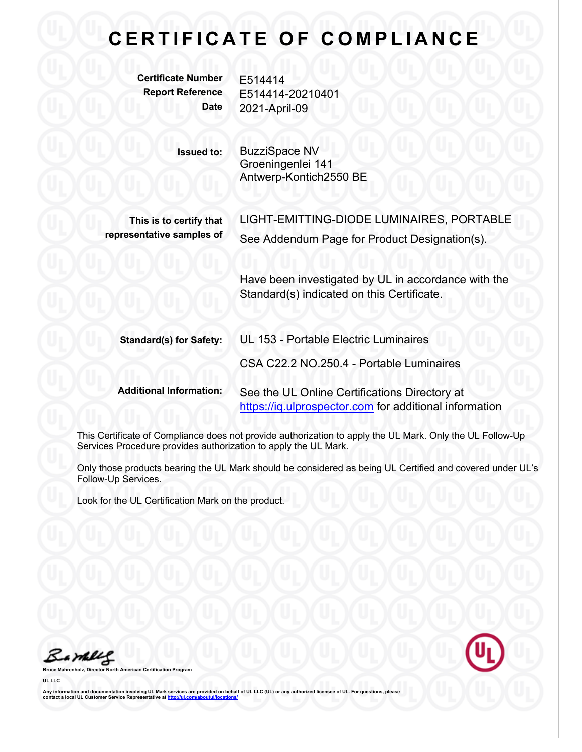## **CERTIFICATE OF COMPLIANCE**

**Certificate Number** E514414

**Report Reference** E514414-20210401 **Date** 2021-April-09

> **Issued to:** BuzziSpace NV Groeningenlei 141 Antwerp-Kontich2550 BE

**This is to certify that representative samples of** LIGHT-EMITTING-DIODE LUMINAIRES, PORTABLE See Addendum Page for Product Designation(s).

Have been investigated by UL in accordance with the Standard(s) indicated on this Certificate.

| <b>Standard(s) for Safety:</b> | UL 153 - Portable Electric Luminaires                                                                   |
|--------------------------------|---------------------------------------------------------------------------------------------------------|
|                                | CSA C22.2 NO.250.4 - Portable Luminaires                                                                |
| <b>Additional Information:</b> | See the UL Online Certifications Directory at<br>https://iq.ulprospector.com for additional information |

This Certificate of Compliance does not provide authorization to apply the UL Mark. Only the UL Follow-Up Services Procedure provides authorization to apply the UL Mark.

Only those products bearing the UL Mark should be considered as being UL Certified and covered under UL's Follow-Up Services.

Look for the UL Certification Mark on the product.

Bambles

**Brace Structure Structure Structure** 

**UL LLC**

Any information and documentation involving UL Mark services are provided on behalf of UL LLC (UL) or any authorized licensee of UL. For questions, please<br>contact a local UL Customer Service Representative at <u>http://ul.co</u>